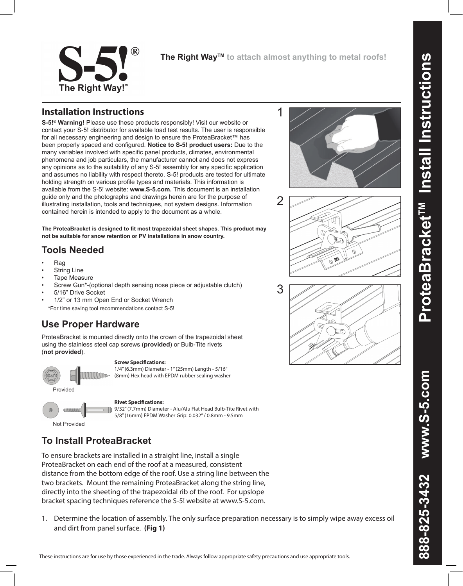

**The Right WayTM to attach almost anything to metal roofs!**

1

2

## **Installation Instructions**

**S-5!® Warning!** Please use these products responsibly! Visit our website or contact your S-5! distributor for available load test results. The user is responsible for all necessary engineering and design to ensure the ProteaBracket™ has been properly spaced and configured. **Notice to S-5! product users:** Due to the many variables involved with specific panel products, climates, environmental phenomena and job particulars, the manufacturer cannot and does not express any opinions as to the suitability of any S-5! assembly for any specific application and assumes no liability with respect thereto. S-5! products are tested for ultimate holding strength on various profile types and materials. This information is available from the S-5! website: **www.S-5.com.** This document is an installation guide only and the photographs and drawings herein are for the purpose of illustrating installation, tools and techniques, not system designs. Information contained herein is intended to apply to the document as a whole.

**The ProteaBracket is designed to fit most trapezoidal sheet shapes. This product may not be suitable for snow retention or PV installations in snow country.**

# **Tools Needed**

- Rag
- **String Line**
- **Tape Measure**
- Screw Gun\*-(optional depth sensing nose piece or adjustable clutch)
- 5/16" Drive Socket
- 1/2" or 13 mm Open End or Socket Wrench

\*For time saving tool recommendations contact S-5!

## **Use Proper Hardware**

ProteaBracket is mounted directly onto the crown of the trapezoidal sheet using the stainless steel cap screws (**provided**) or Bulb-Tite rivets (**not provided**).

#### **Screw Specifications:**

1/4" (6.3mm) Diameter - 1" (25mm) Length - 5/16" (8mm) Hex head with EPDM rubber sealing washer



**Rivet Specifications:**  9/32" (7.7mm) Diameter - Alu/Alu Flat Head Bulb-Tite Rivet with 5/8" (16mm) EPDM Washer Grip: 0.032" / 0.8mm - 9.5mm



Provided

# **To Install ProteaBracket**

To ensure brackets are installed in a straight line, install a single ProteaBracket on each end of the roof at a measured, consistent distance from the bottom edge of the roof. Use a string line between the two brackets. Mount the remaining ProteaBracket along the string line, directly into the sheeting of the trapezoidal rib of the roof. For upslope bracket spacing techniques reference the S-5! website at www.S-5.com.

1. Determine the location of assembly. The only surface preparation necessary is to simply wipe away excess oil and dirt from panel surface. **(Fig 1)**